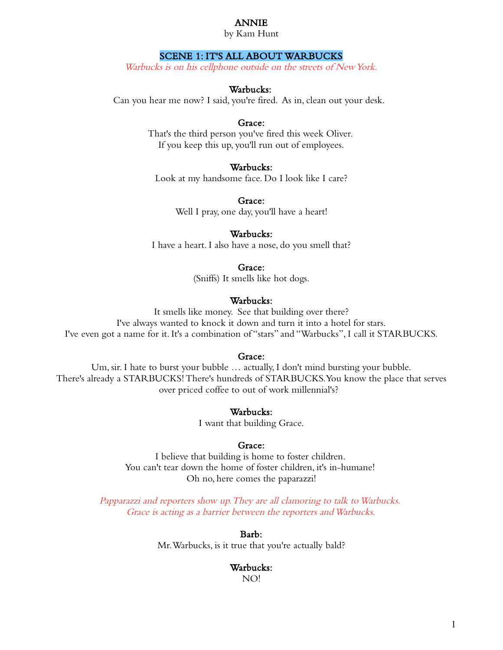# ANNIE

by Kam Hunt

# SCENE 1: IT'S ALL ABOUT WARBUCKS

Warbucks is on his cellphone outside on the streets of New York.

### Warbucks:

Can you hear me now? I said, you're fired. As in, clean out your desk.

## Grace:

That's the third person you've fired this week Oliver. If you keep this up, you'll run out of employees.

# Warbucks:

Look at my handsome face. Do I look like I care?

Grace: Well I pray, one day, you'll have a heart!

### Warbucks:

I have a heart. I also have a nose, do you smell that?

### Grace:

(Sniffs) It smells like hot dogs.

# Warbucks:

It smells like money. See that building over there? I've always wanted to knock it down and turn it into a hotel for stars. I've even got a name for it. It's a combination of "stars" and "Warbucks", I call it STARBUCKS.

### Grace:

Um, sir. I hate to burst your bubble … actually, I don't mind bursting your bubble. There's already a STARBUCKS! There's hundreds of STARBUCKS. You know the place that serves over priced coffee to out of work millennial's?

### Warbucks:

I want that building Grace.

#### Grace:

I believe that building is home to foster children. You can't tear down the home of foster children, it's in-humane! Oh no, here comes the paparazzi!

Papparazzi and reporters show up. They are all clamoring to talk to Warbucks. Grace is acting as a barrier between the reporters and Warbucks.

Barb:

Mr. Warbucks, is it true that you're actually bald?

#### Warbucks:

NO!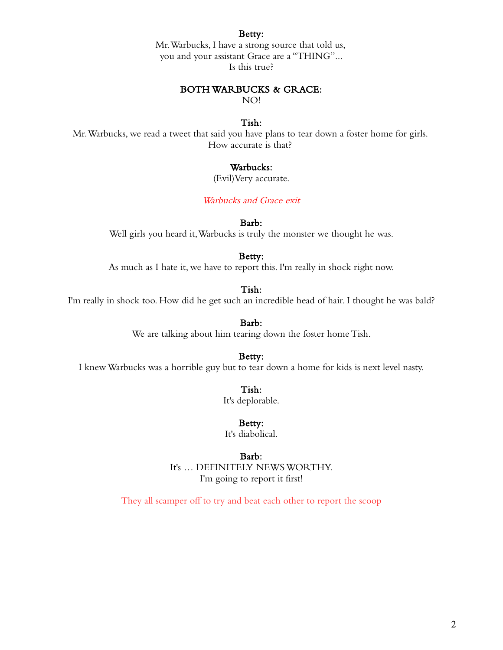#### Betty:

Mr. Warbucks, I have a strong source that told us, you and your assistant Grace are a "THING"... Is this true?

### BOTH WARBUCKS & GRACE:

NO!

# Tish:

Mr. Warbucks, we read a tweet that said you have plans to tear down a foster home for girls. How accurate is that?

# Warbucks:

(Evil)Very accurate.

# Warbucks and Grace exit

Barb:

Well girls you heard it, Warbucks is truly the monster we thought he was.

### Betty:

As much as I hate it, we have to report this. I'm really in shock right now.

### Tish:

I'm really in shock too. How did he get such an incredible head of hair. I thought he was bald?

Barb:

We are talking about him tearing down the foster home Tish.

Betty:

I knew Warbucks was a horrible guy but to tear down a home for kids is next level nasty.

Tish:

It's deplorable.

Betty:

It's diabolical.

#### Barb:

It's … DEFINITELY NEWS WORTHY. I'm going to report it first!

They all scamper off to try and beat each other to report the scoop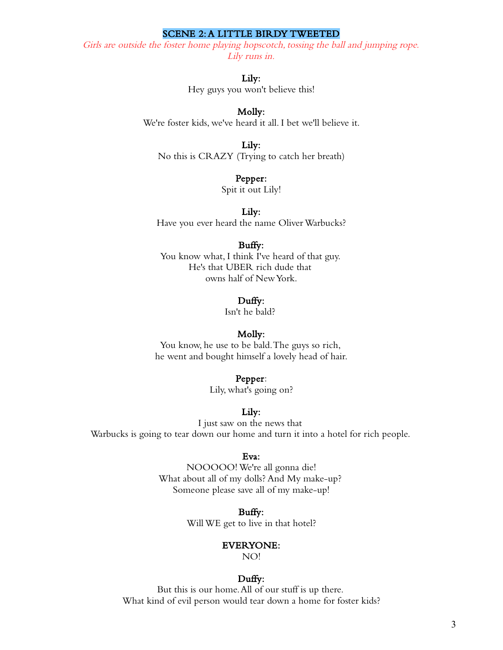### SCENE 2: A LITTLE BIRDY TWEETED

Girls are outside the foster home playing hopscotch, tossing the ball and jumping rope. Lily runs in.

### Lily:

Hey guys you won't believe this!

# Molly:

We're foster kids, we've heard it all. I bet we'll believe it.

### Lily:

No this is CRAZY (Trying to catch her breath)

### Pepper:

Spit it out Lily!

#### Lily:

Have you ever heard the name Oliver Warbucks?

# Buffy:

You know what, I think I've heard of that guy. He's that UBER rich dude that owns half of New York.

#### Duffy:

Isn't he bald?

#### Molly:

You know, he use to be bald. The guys so rich, he went and bought himself a lovely head of hair.

#### Pepper:

Lily, what's going on?

## Lily:

I just saw on the news that Warbucks is going to tear down our home and turn it into a hotel for rich people.

### Eva:

NOOOOO! We're all gonna die! What about all of my dolls? And My make-up? Someone please save all of my make-up!

> Buffy: Will WE get to live in that hotel?

#### EVERYONE:

NO!

### Duffy:

But this is our home. All of our stuff is up there. What kind of evil person would tear down a home for foster kids?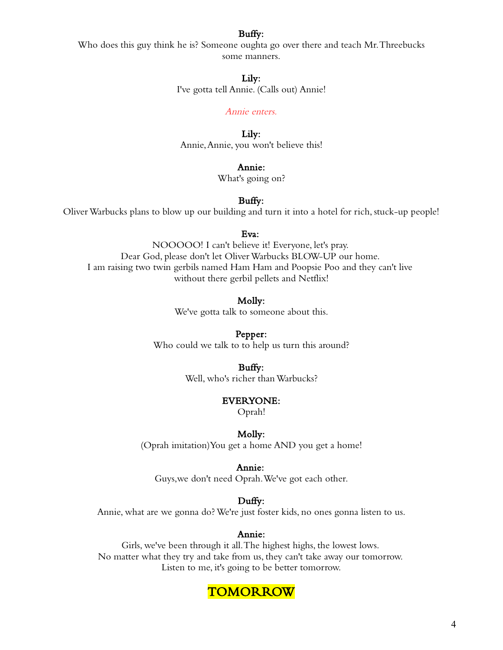# Buffy:

Who does this guy think he is? Someone oughta go over there and teach Mr. Threebucks some manners.

### Lily:

I've gotta tell Annie. (Calls out) Annie!

#### Annie enters.

Lily: Annie, Annie, you won't believe this!

# Annie:

What's going on?

# Buffy:

Oliver Warbucks plans to blow up our building and turn it into a hotel for rich, stuck-up people!

#### Eva:

NOOOOO! I can't believe it! Everyone, let's pray. Dear God, please don't let Oliver Warbucks BLOW-UP our home. I am raising two twin gerbils named Ham Ham and Poopsie Poo and they can't live without there gerbil pellets and Netflix!

Molly:

We've gotta talk to someone about this.

### Pepper:

Who could we talk to to help us turn this around?

### Buffy:

Well, who's richer than Warbucks?

#### EVERYONE:

Oprah!

#### Molly:

(Oprah imitation)You get a home AND you get a home!

#### Annie:

Guys,we don't need Oprah. We've got each other.

# Duffy:

Annie, what are we gonna do? We're just foster kids, no ones gonna listen to us.

### Annie:

Girls, we've been through it all. The highest highs, the lowest lows. No matter what they try and take from us, they can't take away our tomorrow. Listen to me, it's going to be better tomorrow.

# **TOMORROW**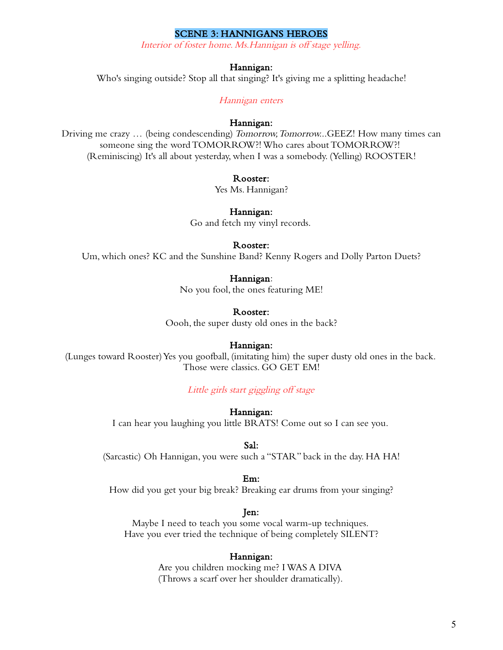### SCENE 3: HANNIGANS HEROES

Interior of foster home. Ms.Hannigan is off stage yelling.

### Hannigan:

Who's singing outside? Stop all that singing? It's giving me a splitting headache!

Hannigan enters

### Hannigan:

Driving me crazy … (being condescending) Tomorrow, Tomorrow...GEEZ! How many times can someone sing the word TOMORROW?! Who cares about TOMORROW?! (Reminiscing) It's all about yesterday, when I was a somebody. (Yelling) ROOSTER!

#### Rooster:

Yes Ms. Hannigan?

### Hannigan:

Go and fetch my vinyl records.

# Rooster:

Um, which ones? KC and the Sunshine Band? Kenny Rogers and Dolly Parton Duets?

### Hannigan:

No you fool, the ones featuring ME!

### Rooster:

Oooh, the super dusty old ones in the back?

#### Hannigan:

(Lunges toward Rooster) Yes you goofball, (imitating him) the super dusty old ones in the back. Those were classics. GO GET EM!

Little girls start giggling off stage

#### Hannigan:

I can hear you laughing you little BRATS! Come out so I can see you.

#### Sal:

(Sarcastic) Oh Hannigan, you were such a "STAR" back in the day. HA HA!

#### Em:

How did you get your big break? Breaking ear drums from your singing?

### Jen:

Maybe I need to teach you some vocal warm-up techniques. Have you ever tried the technique of being completely SILENT?

#### Hannigan:

Are you children mocking me? I WAS A DIVA (Throws a scarf over her shoulder dramatically).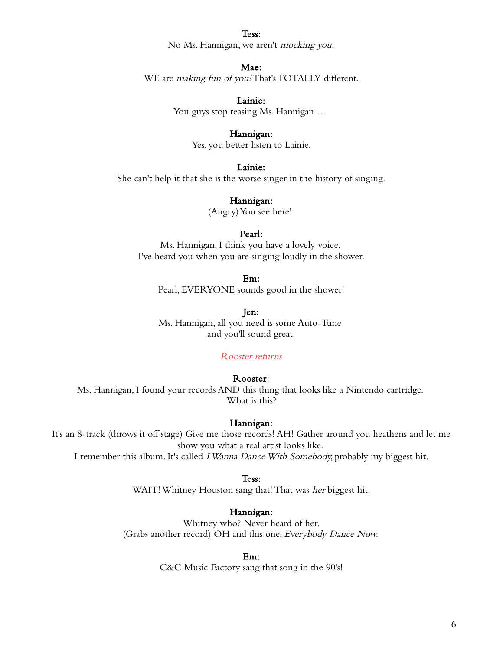#### Tess:

No Ms. Hannigan, we aren't mocking you.

### Mae:

WE are *making fun of you!* That's TOTALLY different.

Lainie:

You guys stop teasing Ms. Hannigan …

#### Hannigan:

Yes, you better listen to Lainie.

Lainie:

She can't help it that she is the worse singer in the history of singing.

# Hannigan:

(Angry) You see here!

#### Pearl:

Ms. Hannigan, I think you have a lovely voice. I've heard you when you are singing loudly in the shower.

#### Em:

Pearl, EVERYONE sounds good in the shower!

Jen:

Ms. Hannigan, all you need is some Auto-Tune and you'll sound great.

# Rooster returns

#### Rooster:

Ms. Hannigan, I found your records AND this thing that looks like a Nintendo cartridge. What is this?

### Hannigan:

It's an 8-track (throws it off stage) Give me those records! AH! Gather around you heathens and let me show you what a real artist looks like.

I remember this album. It's called I Wanna Dance With Somebody, probably my biggest hit.

#### Tess:

WAIT! Whitney Houston sang that! That was *her* biggest hit.

#### Hannigan:

Whitney who? Never heard of her. (Grabs another record) OH and this one, Everybody Dance Now.

#### Em:

C&C Music Factory sang that song in the 90's!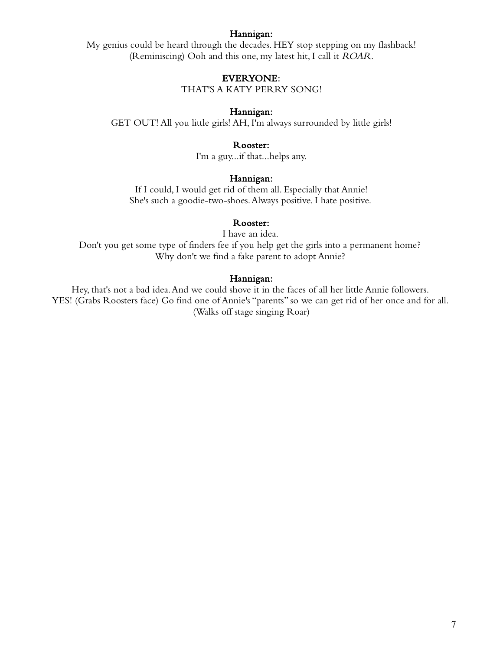### Hannigan:

My genius could be heard through the decades. HEY stop stepping on my flashback! (Reminiscing) Ooh and this one, my latest hit, I call it ROAR.

### EVERYONE:

THAT'S A KATY PERRY SONG!

### Hannigan:

GET OUT! All you little girls! AH, I'm always surrounded by little girls!

### Rooster:

I'm a guy...if that...helps any.

### Hannigan:

If I could, I would get rid of them all. Especially that Annie! She's such a goodie-two-shoes. Always positive. I hate positive.

# Rooster:

I have an idea. Don't you get some type of finders fee if you help get the girls into a permanent home? Why don't we find a fake parent to adopt Annie?

#### Hannigan:

Hey, that's not a bad idea. And we could shove it in the faces of all her little Annie followers. YES! (Grabs Roosters face) Go find one of Annie's "parents" so we can get rid of her once and for all. (Walks off stage singing Roar)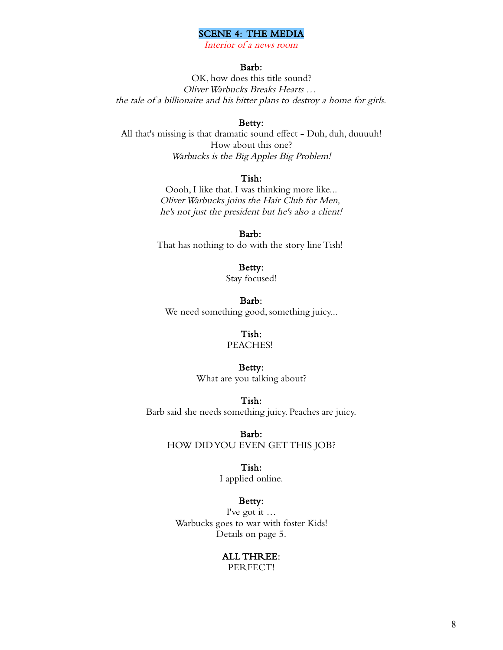### SCENE 4: THE MEDIA

Interior of a news room

# Barb:

OK, how does this title sound? Oliver Warbucks Breaks Hearts … the tale of a billionaire and his bitter plans to destroy a home for girls.

### Betty:

All that's missing is that dramatic sound effect - Duh, duh, duuuuh! How about this one? Warbucks is the Big Apples Big Problem!

# Tish:

Oooh, I like that. I was thinking more like... Oliver Warbucks joins the Hair Club for Men, he's not just the president but he's also a client!

Barb: That has nothing to do with the story line Tish!

### Betty:

Stay focused!

Barb: We need something good, something juicy...

# Tish:

# PEACHES!

### Betty:

What are you talking about?

#### Tish:

Barb said she needs something juicy. Peaches are juicy.

Barb:

HOW DID YOU EVEN GET THIS JOB?

#### Tish:

I applied online.

# Betty:

I've got it … Warbucks goes to war with foster Kids! Details on page 5.

# ALL THREE:

PERFECT!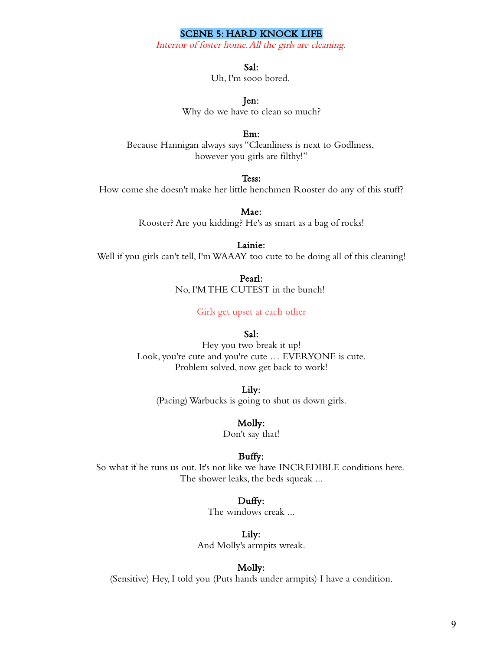# SCENE 5: HARD KNOCK LIFE

Interior of foster home. All the girls are cleaning.

Sal:

Uh, I'm sooo bored.

Jen:

Why do we have to clean so much?

Em:

Because Hannigan always says "Cleanliness is next to Godliness, however you girls are filthy!"

Tess:

How come she doesn't make her little henchmen Rooster do any of this stuff?

Mae: Rooster? Are you kidding? He's as smart as a bag of rocks!

Lainie:

Well if you girls can't tell, I'm WAAAY too cute to be doing all of this cleaning!

Pearl: No, I'M THE CUTEST in the bunch!

Girls get upset at each other

### Sal:

Hey you two break it up! Look, you're cute and you're cute … EVERYONE is cute. Problem solved, now get back to work!

Lily:

(Pacing) Warbucks is going to shut us down girls.

Molly:

Don't say that!

#### Buffy:

So what if he runs us out. It's not like we have INCREDIBLE conditions here. The shower leaks, the beds squeak ...

### Duffy:

The windows creak ...

Lily:

And Molly's armpits wreak.

#### Molly:

(Sensitive) Hey, I told you (Puts hands under armpits) I have a condition.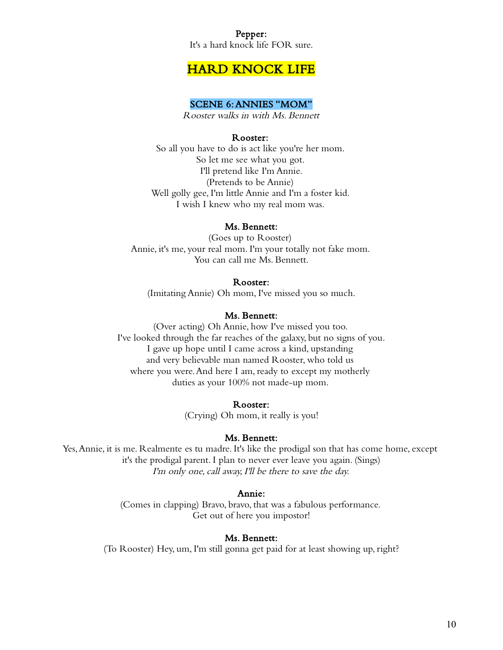# Pepper: It's a hard knock life FOR sure.

# HARD KNOCK LIFE

# SCENE 6: ANNIES "MOM"

Rooster walks in with Ms. Bennett

# Rooster:

So all you have to do is act like you're her mom. So let me see what you got. I'll pretend like I'm Annie. (Pretends to be Annie) Well golly gee, I'm little Annie and I'm a foster kid. I wish I knew who my real mom was.

# Ms. Bennett:

(Goes up to Rooster) Annie, it's me, your real mom. I'm your totally not fake mom. You can call me Ms. Bennett.

### Rooster:

(Imitating Annie) Oh mom, I've missed you so much.

# Ms. Bennett:

(Over acting) Oh Annie, how I've missed you too. I've looked through the far reaches of the galaxy, but no signs of you. I gave up hope until I came across a kind, upstanding and very believable man named Rooster, who told us where you were. And here I am, ready to except my motherly duties as your 100% not made-up mom.

### Rooster:

(Crying) Oh mom, it really is you!

# Ms. Bennett:

Yes, Annie, it is me. Realmente es tu madre. It's like the prodigal son that has come home, except it's the prodigal parent. I plan to never ever leave you again. (Sings) I'm only one, call away, I'll be there to save the day.

# Annie:

(Comes in clapping) Bravo, bravo, that was a fabulous performance. Get out of here you impostor!

# Ms. Bennett:

(To Rooster) Hey, um, I'm still gonna get paid for at least showing up, right?